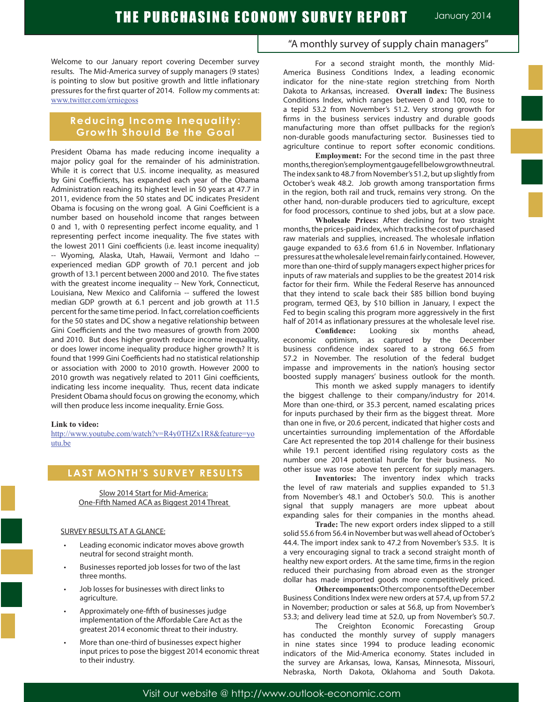Welcome to our January report covering December survey results. The Mid-America survey of supply managers (9 states) is pointing to slow but positive growth and little inflationary pressures for the first quarter of 2014. Follow my comments at: www.twitter.com/erniegoss

# **Reducing Income Inequality: Growth Should Be the Goal**

President Obama has made reducing income inequality a major policy goal for the remainder of his administration. While it is correct that U.S. income inequality, as measured by Gini Coefficients, has expanded each year of the Obama Administration reaching its highest level in 50 years at 47.7 in 2011, evidence from the 50 states and DC indicates President Obama is focusing on the wrong goal. A Gini Coefficient is a number based on household income that ranges between 0 and 1, with 0 representing perfect income equality, and 1 representing perfect income inequality. The five states with the lowest 2011 Gini coefficients (i.e. least income inequality) -- Wyoming, Alaska, Utah, Hawaii, Vermont and Idaho - experienced median GDP growth of 70.1 percent and job growth of 13.1 percent between 2000 and 2010. The five states with the greatest income inequality -- New York, Connecticut, Louisiana, New Mexico and California -- suffered the lowest median GDP growth at 6.1 percent and job growth at 11.5 percent for the same time period. In fact, correlation coefficients for the 50 states and DC show a negative relationship between Gini Coefficients and the two measures of growth from 2000 and 2010. But does higher growth reduce income inequality, or does lower income inequality produce higher growth? It is found that 1999 Gini Coefficients had no statistical relationship or association with 2000 to 2010 growth. However 2000 to 2010 growth was negatively related to 2011 Gini coefficients, indicating less income inequality. Thus, recent data indicate President Obama should focus on growing the economy, which will then produce less income inequality. Ernie Goss.

#### **Link to video:**

http://www.youtube.com/watch?v=R4y0THZx1R8&feature=yo utu.be

# **LAST MONTH'S SURVEY RESULTS**

Slow 2014 Start for Mid-America: One-Fifth Named ACA as Biggest 2014 Threat

### SURVEY RESULTS AT A GLANCE:

- Leading economic indicator moves above growth neutral for second straight month.
- Businesses reported job losses for two of the last three months.
- Job losses for businesses with direct links to agriculture.
- Approximately one-fifth of businesses judge implementation of the Affordable Care Act as the greatest 2014 economic threat to their industry.
- More than one-third of businesses expect higher input prices to pose the biggest 2014 economic threat to their industry.

## "A monthly survey of supply chain managers"

For a second straight month, the monthly Mid-America Business Conditions Index, a leading economic indicator for the nine-state region stretching from North Dakota to Arkansas, increased. **Overall index:** The Business Conditions Index, which ranges between 0 and 100, rose to a tepid 53.2 from November's 51.2. Very strong growth for firms in the business services industry and durable goods manufacturing more than offset pullbacks for the region's non-durable goods manufacturing sector. Businesses tied to agriculture continue to report softer economic conditions.

**Employment:** For the second time in the past three months, the region's employment gauge fell below growth neutral. The index sank to 48.7 from November's 51.2, but up slightly from October's weak 48.2. Job growth among transportation firms in the region, both rail and truck, remains very strong. On the other hand, non-durable producers tied to agriculture, except for food processors, continue to shed jobs, but at a slow pace.

**Wholesale Prices:** After declining for two straight months, the prices-paid index, which tracks the cost of purchased raw materials and supplies, increased. The wholesale inflation gauge expanded to 63.6 from 61.6 in November. Inflationary pressures at the wholesale level remain fairly contained. However, more than one-third of supply managers expect higher prices for inputs of raw materials and supplies to be the greatest 2014 risk factor for their firm. While the Federal Reserve has announced that they intend to scale back their \$85 billion bond buying program, termed QE3, by \$10 billion in January, I expect the Fed to begin scaling this program more aggressively in the first

half of 2014 as inflationary pressures at the wholesale level rise.<br>Confidence: Looking six months ahead, **Confidence:** Looking six months ahead, economic optimism, as captured by the December business confidence index soared to a strong 66.5 from 57.2 in November. The resolution of the federal budget impasse and improvements in the nation's housing sector boosted supply managers' business outlook for the month.

This month we asked supply managers to identify the biggest challenge to their company/industry for 2014. More than one-third, or 35.3 percent, named escalating prices for inputs purchased by their firm as the biggest threat. More than one in five, or 20.6 percent, indicated that higher costs and uncertainties surrounding implementation of the Affordable Care Act represented the top 2014 challenge for their business while 19.1 percent identified rising regulatory costs as the number one 2014 potential hurdle for their business. No other issue was rose above ten percent for supply managers.

**Inventories:** The inventory index which tracks the level of raw materials and supplies expanded to 51.3 from November's 48.1 and October's 50.0. This is another signal that supply managers are more upbeat about expanding sales for their companies in the months ahead.

**Trade:** The new export orders index slipped to a still solid 55.6 from 56.4 in November but was well ahead of October's 44.4. The import index sank to 47.2 from November's 53.5. It is a very encouraging signal to track a second straight month of healthy new export orders. At the same time, firms in the region reduced their purchasing from abroad even as the stronger dollar has made imported goods more competitively priced.

**Other components:** Other components of the December Business Conditions Index were new orders at 57.4, up from 57.2 in November; production or sales at 56.8, up from November's 53.3; and delivery lead time at 52.0, up from November's 50.7.

The Creighton Economic Forecasting Group has conducted the monthly survey of supply managers in nine states since 1994 to produce leading economic indicators of the Mid-America economy. States included in the survey are Arkansas, Iowa, Kansas, Minnesota, Missouri, Nebraska, North Dakota, Oklahoma and South Dakota.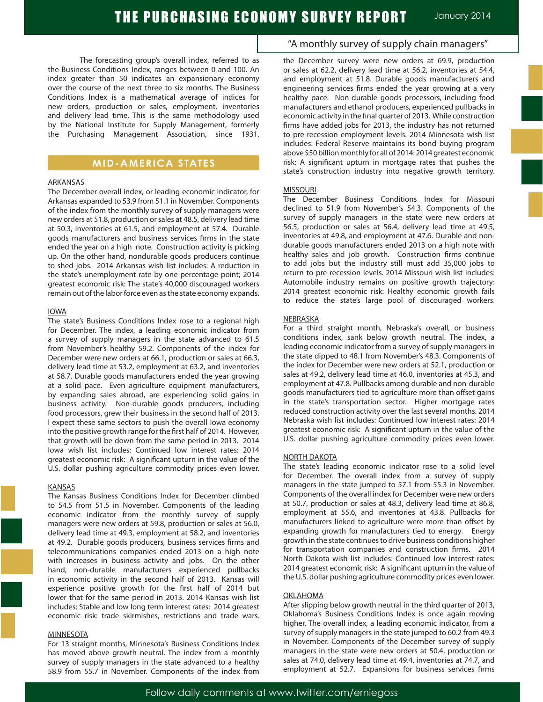The forecasting group's overall index, referred to as the Business Conditions Index, ranges between 0 and 100. An index greater than 50 indicates an expansionary economy over the course of the next three to six months. The Business Conditions Index is a mathematical average of indices for new orders, production or sales, employment, inventories and delivery lead time. This is the same methodology used by the National Institute for Supply Management, formerly the Purchasing Management Association, since 1931.

# **MID-AMERICA STATES**

### ARKANSAS

The December overall index, or leading economic indicator, for Arkansas expanded to 53.9 from 51.1 in November. Components of the index from the monthly survey of supply managers were new orders at 51.8, production or sales at 48.5, delivery lead time at 50.3, inventories at 61.5, and employment at 57.4. Durable goods manufacturers and business services firms in the state ended the year on a high note. Construction activity is picking up. On the other hand, nondurable goods producers continue to shed jobs. 2014 Arkansas wish list includes: A reduction in the state's unemployment rate by one percentage point; 2014 greatest economic risk: The state's 40,000 discouraged workers remain out of the labor force even as the state economy expands.

### IOWA

The state's Business Conditions Index rose to a regional high for December. The index, a leading economic indicator from a survey of supply managers in the state advanced to 61.5 from November's healthy 59.2. Components of the index for December were new orders at 66.1, production or sales at 66.3, delivery lead time at 53.2, employment at 63.2, and inventories at 58.7. Durable goods manufacturers ended the year growing at a solid pace. Even agriculture equipment manufacturers, by expanding sales abroad, are experiencing solid gains in business activity. Non-durable goods producers, including food processors, grew their business in the second half of 2013. I expect these same sectors to push the overall Iowa economy into the positive growth range for the first half of 2014. However, that growth will be down from the same period in 2013. 2014 Iowa wish list includes: Continued low interest rates: 2014 greatest economic risk: A significant upturn in the value of the U.S. dollar pushing agriculture commodity prices even lower.

### KANSAS

The Kansas Business Conditions Index for December climbed to 54.5 from 51.5 in November. Components of the leading economic indicator from the monthly survey of supply managers were new orders at 59.8, production or sales at 56.0, delivery lead time at 49.3, employment at 58.2, and inventories at 49.2. Durable goods producers, business services firms and telecommunications companies ended 2013 on a high note with increases in business activity and jobs. On the other hand, non-durable manufacturers experienced pullbacks in economic activity in the second half of 2013. Kansas will experience positive growth for the first half of 2014 but lower that for the same period in 2013. 2014 Kansas wish list includes: Stable and low long term interest rates: 2014 greatest economic risk: trade skirmishes, restrictions and trade wars.

#### MINNESOTA

For 13 straight months, Minnesota's Business Conditions Index has moved above growth neutral. The index from a monthly survey of supply managers in the state advanced to a healthy 58.9 from 55.7 in November. Components of the index from

### "A monthly survey of supply chain managers"

the December survey were new orders at 69.9, production or sales at 62.2, delivery lead time at 56.2, inventories at 54.4, and employment at 51.8. Durable goods manufacturers and engineering services firms ended the year growing at a very healthy pace. Non-durable goods processors, including food manufacturers and ethanol producers, experienced pullbacks in economic activity in the final quarter of 2013. While construction firms have added jobs for 2013, the industry has not returned to pre-recession employment levels. 2014 Minnesota wish list includes: Federal Reserve maintains its bond buying program above \$50 billion monthly for all of 2014: 2014 greatest economic risk: A significant upturn in mortgage rates that pushes the state's construction industry into negative growth territory.

#### MISSOURI

The December Business Conditions Index for Missouri declined to 51.9 from November's 54.3. Components of the survey of supply managers in the state were new orders at 56.5, production or sales at 56.4, delivery lead time at 49.5, inventories at 49.8, and employment at 47.6. Durable and nondurable goods manufacturers ended 2013 on a high note with healthy sales and job growth. Construction firms continue to add jobs but the industry still must add 35,000 jobs to return to pre-recession levels. 2014 Missouri wish list includes: Automobile industry remains on positive growth trajectory: 2014 greatest economic risk: Healthy economic growth fails to reduce the state's large pool of discouraged workers.

#### **NEBRASKA**

For a third straight month, Nebraska's overall, or business conditions index, sank below growth neutral. The index, a leading economic indicator from a survey of supply managers in the state dipped to 48.1 from November's 48.3. Components of the index for December were new orders at 52.1, production or sales at 49.2, delivery lead time at 46.0, inventories at 45.3, and employment at 47.8. Pullbacks among durable and non-durable goods manufacturers tied to agriculture more than offset gains in the state's transportation sector. Higher mortgage rates reduced construction activity over the last several months. 2014 Nebraska wish list includes: Continued low interest rates: 2014 greatest economic risk: A significant upturn in the value of the U.S. dollar pushing agriculture commodity prices even lower.

### NORTH DAKOTA

The state's leading economic indicator rose to a solid level for December. The overall index from a survey of supply managers in the state jumped to 57.1 from 55.3 in November. Components of the overall index for December were new orders at 50.7, production or sales at 48.3, delivery lead time at 86.8, employment at 55.6, and inventories at 43.8. Pullbacks for manufacturers linked to agriculture were more than offset by expanding growth for manufacturers tied to energy. Energy growth in the state continues to drive business conditions higher for transportation companies and construction firms. 2014 North Dakota wish list includes: Continued low interest rates: 2014 greatest economic risk: A significant upturn in the value of the U.S. dollar pushing agriculture commodity prices even lower.

#### **OKLAHOMA**

After slipping below growth neutral in the third quarter of 2013, Oklahoma's Business Conditions Index is once again moving higher. The overall index, a leading economic indicator, from a survey of supply managers in the state jumped to 60.2 from 49.3 in November. Components of the December survey of supply managers in the state were new orders at 50.4, production or sales at 74.0, delivery lead time at 49.4, inventories at 74.7, and employment at 52.7. Expansions for business services firms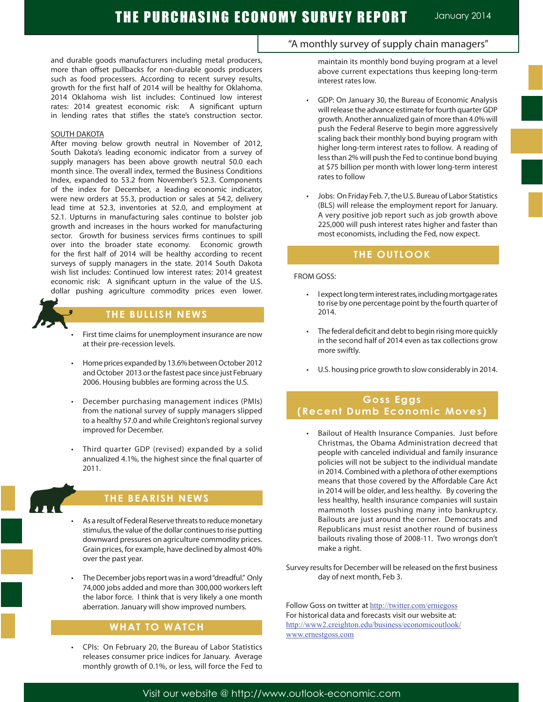and durable goods manufacturers including metal producers, more than offset pullbacks for non-durable goods producers such as food processers. According to recent survey results, growth for the first half of 2014 will be healthy for Oklahoma. 2014 Oklahoma wish list includes: Continued low interest rates: 2014 greatest economic risk: A significant upturn in lending rates that stifles the state's construction sector.

#### SOUTH DAKOTA

After moving below growth neutral in November of 2012, South Dakota's leading economic indicator from a survey of supply managers has been above growth neutral 50.0 each month since. The overall index, termed the Business Conditions Index, expanded to 53.2 from November's 52.3. Components of the index for December, a leading economic indicator, were new orders at 55.3, production or sales at 54.2, delivery lead time at 52.3, inventories at 52.0, and employment at 52.1. Upturns in manufacturing sales continue to bolster job growth and increases in the hours worked for manufacturing sector. Growth for business services firms continues to spill over into the broader state economy. Economic growth for the first half of 2014 will be healthy according to recent surveys of supply managers in the state. 2014 South Dakota wish list includes: Continued low interest rates: 2014 greatest economic risk: A significant upturn in the value of the U.S. dollar pushing agriculture commodity prices even lower.



# **THE BULLISH NEWS**

- First time claims for unemployment insurance are now at their pre-recession levels.
- Home prices expanded by 13.6% between October 2012 and October 2013 or the fastest pace since just February 2006. Housing bubbles are forming across the U.S.
- December purchasing management indices (PMIs) from the national survey of supply managers slipped to a healthy 57.0 and while Creighton's regional survey improved for December.
- Third quarter GDP (revised) expanded by a solid annualized 4.1%, the highest since the final quarter of 2011.



Ĩ

# **THE BEARISH NEWS**

- As a result of Federal Reserve threats to reduce monetary stimulus, the value of the dollar continues to rise putting downward pressures on agriculture commodity prices. Grain prices, for example, have declined by almost 40% over the past year.
- The December jobs report was in a word "dreadful." Only 74,000 jobs added and more than 300,000 workers left the labor force. I think that is very likely a one month aberration. January will show improved numbers.

### **WHAT TO WATCH**

CPIs: On February 20, the Bureau of Labor Statistics releases consumer price indices for January. Average monthly growth of 0.1%, or less, will force the Fed to maintain its monthly bond buying program at a level above current expectations thus keeping long-term interest rates low.

- GDP: On January 30, the Bureau of Economic Analysis will release the advance estimate for fourth quarter GDP growth. Another annualized gain of more than 4.0% will push the Federal Reserve to begin more aggressively scaling back their monthly bond buying program with higher long-term interest rates to follow. A reading of less than 2% will push the Fed to continue bond buying at \$75 billion per month with lower long-term interest rates to follow
- Jobs: On Friday Feb. 7, the U.S. Bureau of Labor Statistics (BLS) will release the employment report for January. A very positive job report such as job growth above 225,000 will push interest rates higher and faster than most economists, including the Fed, now expect.

### **THE OUTLOOK**

### FROM GOSS:

- I expect long term interest rates, including mortgage rates to rise by one percentage point by the fourth quarter of 2014.
- The federal deficit and debt to begin rising more quickly in the second half of 2014 even as tax collections grow more swiftly.
- • U.S. housing price growth to slow considerably in 2014.

# **Goss Eggs (Recent Dumb Economic Moves)**

Bailout of Health Insurance Companies. Just before Christmas, the Obama Administration decreed that people with canceled individual and family insurance policies will not be subject to the individual mandate in 2014. Combined with a plethora of other exemptions means that those covered by the Affordable Care Act in 2014 will be older, and less healthy. By covering the less healthy, health insurance companies will sustain mammoth losses pushing many into bankruptcy. Bailouts are just around the corner. Democrats and Republicans must resist another round of business bailouts rivaling those of 2008-11. Two wrongs don't make a right.

Survey results for December will be released on the first business day of next month, Feb 3.

Follow Goss on twitter at http://twitter.com/erniegoss For historical data and forecasts visit our website at: http://www2.creighton.edu/business/economicoutlook/ www.ernestgoss.com